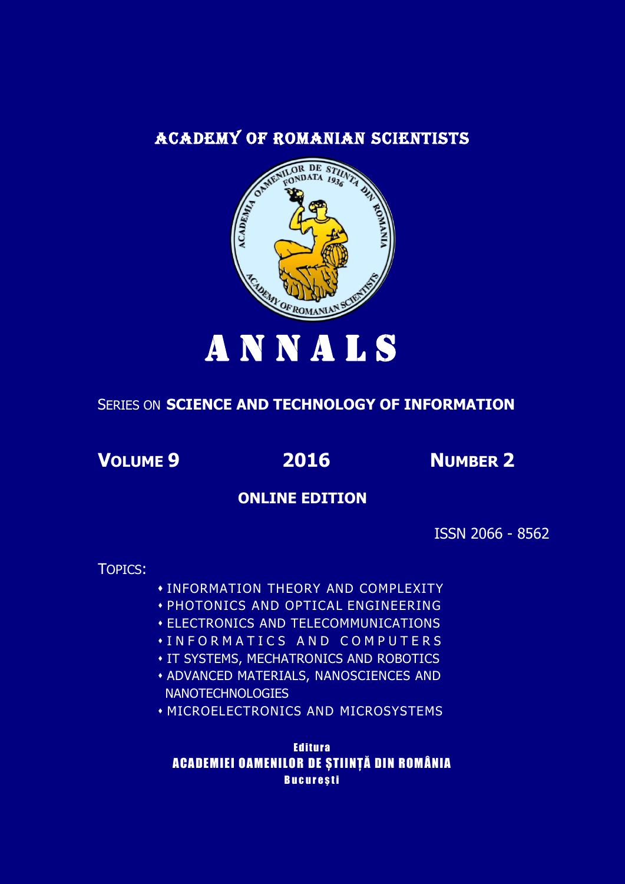## ACADEMY OF ROMANIAN SCIENTISTS



# SERIES ON **SCIENCE AND TECHNOLOGY OF INFORMATION**

**VOLUME 9 2016 NUMBER 2**

## **ONLINE EDITION**

ISSN 2066 - 8562

TOPICS:

INFORMATION THEORY AND COMPLEXITY

- PHOTONICS AND OPTICAL ENGINEERING
- ELECTRONICS AND TELECOMMUNICATIONS
- I N F O R M A T I C S A N D C O M P U T E R S
- **. IT SYSTEMS, MECHATRONICS AND ROBOTICS**
- ADVANCED MATERIALS, NANOSCIENCES AND **NANOTECHNOLOGIES**
- MICROELECTRONICS AND MICROSYSTEMS

**Editura** ACADEMIEI OAMENILOR DE STIINTĂ DIN ROMÂNIA **București**